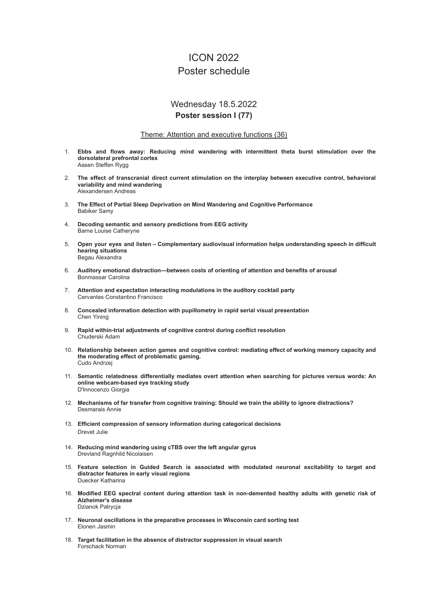# ICON 2022 Poster schedule

## Wednesday 18.5.2022 **Poster session I (77)**

### Theme: Attention and executive functions (36)

- 1. **Ebbs and flows away: Reducing mind wandering with intermittent theta burst stimulation over the dorsolateral prefrontal cortex** Aasen Steffen Rygg
- 2. **The effect of transcranial direct current stimulation on the interplay between executive control, behavioral variability and mind wandering** Alexandersen Andreas
- 3. **The Effect of Partial Sleep Deprivation on Mind Wandering and Cognitive Performance** Babiker Samy
- 4. **Decoding semantic and sensory predictions from EEG activity** Barne Louise Catheryne
- 5. **Open your eyes and listen – Complementary audiovisual information helps understanding speech in difficult hearing situations** Begau Alexandra
- 6. **Auditory emotional distraction—between costs of orienting of attention and benefits of arousal** Bonmassar Carolina
- 7. **Attention and expectation interacting modulations in the auditory cocktail party** Cervantes Constantino Francisco
- 8. **Concealed information detection with pupillometry in rapid serial visual presentation** Chen Yining
- 9. **Rapid within-trial adjustments of cognitive control during conflict resolution** Chuderski Adam
- 10. **Relationship between action games and cognitive control: mediating effect of working memory capacity and the moderating effect of problematic gaming.** Cudo Andrzej
- 11. **Semantic relatedness differentially mediates overt attention when searching for pictures versus words: An online webcam-based eye tracking study** D'Innocenzo Giorgia
- 12. **Mechanisms of far transfer from cognitive training: Should we train the ability to ignore distractions?** Desmarais Annie
- 13. **Efficient compression of sensory information during categorical decisions** Drevet Julie
- 14. **Reducing mind wandering using cTBS over the left angular gyrus** Drevland Ragnhild Nicolaisen
- 15. **Feature selection in Guided Search is associated with modulated neuronal excitability to target and distractor features in early visual regions** Duecker Katharina
- 16. **Modified EEG spectral content during attention task in non-demented healthy adults with genetic risk of Alzheimer's disease** Dzianok Patrycja
- 17. **Neuronal oscillations in the preparative processes in Wisconsin card sorting test** Elonen Jasmin
- 18. **Target facilitation in the absence of distractor suppression in visual search** Forschack Norman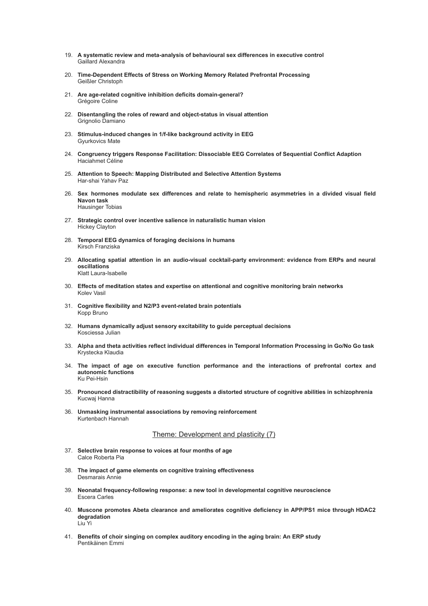- 19. **A systematic review and meta-analysis of behavioural sex differences in executive control** Gaillard Alexandra
- 20. **Time-Dependent Effects of Stress on Working Memory Related Prefrontal Processing** Geißler Christoph
- 21. **Are age-related cognitive inhibition deficits domain-general?** Grégoire Coline
- 22. **Disentangling the roles of reward and object-status in visual attention** Grignolio Damiano
- 23. **Stimulus-induced changes in 1/f-like background activity in EEG** Gyurkovics Mate
- 24. **Congruency triggers Response Facilitation: Dissociable EEG Correlates of Sequential Conflict Adaption** Haciahmet Céline
- 25. **Attention to Speech: Mapping Distributed and Selective Attention Systems** Har-shai Yahav Paz
- 26. **Sex hormones modulate sex differences and relate to hemispheric asymmetries in a divided visual field Navon task** Hausinger Tobias
- 27. **Strategic control over incentive salience in naturalistic human vision** Hickey Clayton
- 28. **Temporal EEG dynamics of foraging decisions in humans** Kirsch Franziska
- 29. **Allocating spatial attention in an audio-visual cocktail-party environment: evidence from ERPs and neural oscillations** Klatt Laura-Isabelle
- 30. **Effects of meditation states and expertise on attentional and cognitive monitoring brain networks** Kolev Vasil
- 31. **Cognitive flexibility and N2/P3 event-related brain potentials** Kopp Bruno
- 32. **Humans dynamically adjust sensory excitability to guide perceptual decisions** Kosciessa Julian
- 33. **Alpha and theta activities reflect individual differences in Temporal Information Processing in Go/No Go task** Krystecka Klaudia
- 34. **The impact of age on executive function performance and the interactions of prefrontal cortex and autonomic functions** Ku Pei-Hsin
- 35. **Pronounced distractibility of reasoning suggests a distorted structure of cognitive abilities in schizophrenia** Kucwaj Hanna
- 36. **Unmasking instrumental associations by removing reinforcement** Kurtenbach Hannah

### Theme: Development and plasticity (7)

- 37. **Selective brain response to voices at four months of age** Calce Roberta Pia
- 38. **The impact of game elements on cognitive training effectiveness** Desmarais Annie
- 39. **Neonatal frequency-following response: a new tool in developmental cognitive neuroscience** Escera Carles
- 40. **Muscone promotes Abeta clearance and ameliorates cognitive deficiency in APP/PS1 mice through HDAC2 degradation** Liu Yi
- 41. **Benefits of choir singing on complex auditory encoding in the aging brain: An ERP study** Pentikäinen Emmi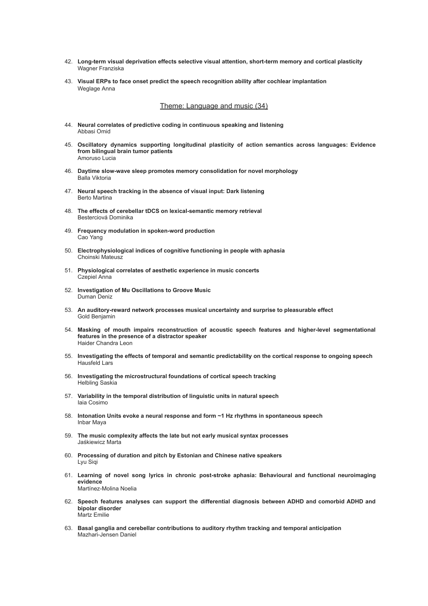- 42. **Long-term visual deprivation effects selective visual attention, short-term memory and cortical plasticity** Wagner Franziska
- 43. **Visual ERPs to face onset predict the speech recognition ability after cochlear implantation** Weglage Anna

Theme: Language and music (34)

- 44. **Neural correlates of predictive coding in continuous speaking and listening** Abbasi Omid
- 45. **Oscillatory dynamics supporting longitudinal plasticity of action semantics across languages: Evidence from bilingual brain tumor patients** Amoruso Lucia
- 46. **Daytime slow-wave sleep promotes memory consolidation for novel morphology** Balla Viktoria
- 47. **Neural speech tracking in the absence of visual input: Dark listening** Berto Martina
- 48. **The effects of cerebellar tDCS on lexical-semantic memory retrieval** Besterciová Dominika
- 49. **Frequency modulation in spoken-word production** Cao Yang
- 50. **Electrophysiological indices of cognitive functioning in people with aphasia** Choinski Mateusz
- 51. **Physiological correlates of aesthetic experience in music concerts** Czepiel Anna
- 52. **Investigation of Mu Oscillations to Groove Music** Duman Deniz
- 53. **An auditory-reward network processes musical uncertainty and surprise to pleasurable effect** Gold Benjamin
- 54. **Masking of mouth impairs reconstruction of acoustic speech features and higher-level segmentational features in the presence of a distractor speaker** Haider Chandra Leon
- 55. **Investigating the effects of temporal and semantic predictability on the cortical response to ongoing speech** Hausfeld Lars
- 56. **Investigating the microstructural foundations of cortical speech tracking** Helbling Saskia
- 57. **Variability in the temporal distribution of linguistic units in natural speech** Iaia Cosimo
- 58. **Intonation Units evoke a neural response and form ~1 Hz rhythms in spontaneous speech** Inbar Maya
- 59. **The music complexity affects the late but not early musical syntax processes** Jaśkiewicz Marta
- 60. **Processing of duration and pitch by Estonian and Chinese native speakers** Lyu Siqi
- 61. **Learning of novel song lyrics in chronic post-stroke aphasia: Behavioural and functional neuroimaging evidence** Martínez-Molina Noelia
- 62. **Speech features analyses can support the differential diagnosis between ADHD and comorbid ADHD and bipolar disorder** Martz Emilie
- 63. **Basal ganglia and cerebellar contributions to auditory rhythm tracking and temporal anticipation** Mazhari-Jensen Daniel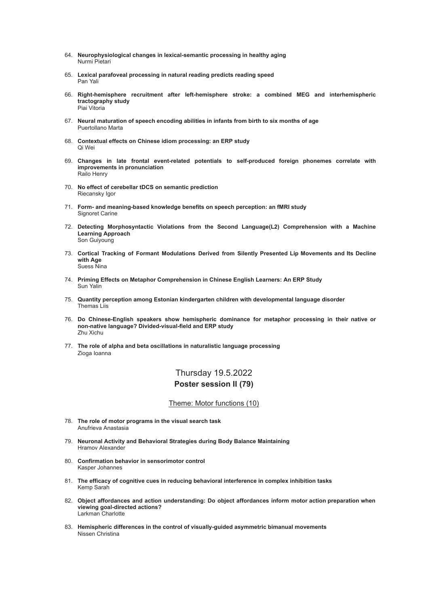- 64. **Neurophysiological changes in lexical-semantic processing in healthy aging** Nurmi Pietari
- 65. **Lexical parafoveal processing in natural reading predicts reading speed** Pan Yali
- 66. **Right-hemisphere recruitment after left-hemisphere stroke: a combined MEG and interhemispheric tractography study** Piai Vitoria
- 67. **Neural maturation of speech encoding abilities in infants from birth to six months of age** Puertollano Marta
- 68. **Contextual effects on Chinese idiom processing: an ERP study** Qi Wei
- 69. **Changes in late frontal event-related potentials to self-produced foreign phonemes correlate with improvements in pronunciation** Railo Henry
- 70. **No effect of cerebellar tDCS on semantic prediction** Riecansky Igor
- 71. **Form- and meaning-based knowledge benefits on speech perception: an fMRI study** Signoret Carine
- 72. **Detecting Morphosyntactic Violations from the Second Language(L2) Comprehension with a Machine Learning Approach** Son Guiyoung
- 73. **Cortical Tracking of Formant Modulations Derived from Silently Presented Lip Movements and Its Decline with Age** Suess Nina
- 74. **Priming Effects on Metaphor Comprehension in Chinese English Learners: An ERP Study** Sun Yalin
- 75. **Quantity perception among Estonian kindergarten children with developmental language disorder** Themas Liis
- 76. **Do Chinese-English speakers show hemispheric dominance for metaphor processing in their native or non-native language? Divided-visual-field and ERP study** Zhu Xichu
- 77. **The role of alpha and beta oscillations in naturalistic language processing** Zioga Ioanna

## Thursday 19.5.2022 **Poster session II (79)**

#### Theme: Motor functions (10)

- 78. **The role of motor programs in the visual search task** Anufrieva Anastasia
- 79. **Neuronal Activity and Behavioral Strategies during Body Balance Maintaining** Hramov Alexander
- 80. **Confirmation behavior in sensorimotor control** Kasper Johannes
- 81. **The efficacy of cognitive cues in reducing behavioral interference in complex inhibition tasks** Kemp Sarah
- 82. **Object affordances and action understanding: Do object affordances inform motor action preparation when viewing goal-directed actions?** Larkman Charlotte
- 83. **Hemispheric differences in the control of visually-guided asymmetric bimanual movements** Nissen Christina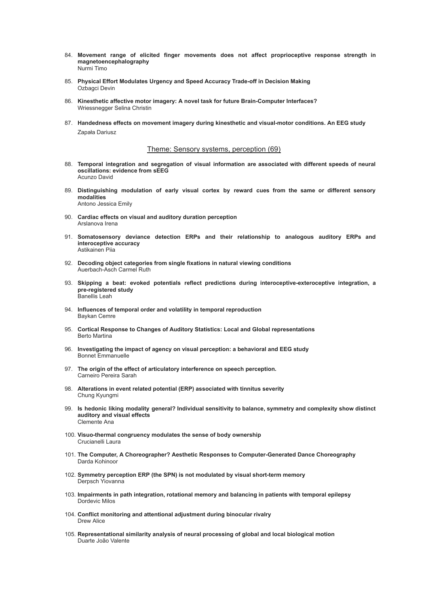- 84. **Movement range of elicited finger movements does not affect proprioceptive response strength in magnetoencephalography** Nurmi Timo
- 85. **Physical Effort Modulates Urgency and Speed Accuracy Trade-off in Decision Making** Ozbagci Devin
- 86. **Kinesthetic affective motor imagery: A novel task for future Brain-Computer Interfaces?** Wriessnegger Selina Christin
- 87. **Handedness effects on movement imagery during kinesthetic and visual-motor conditions. An EEG study** Zapała Dariusz

### Theme: Sensory systems, perception (69)

- 88. **Temporal integration and segregation of visual information are associated with different speeds of neural oscillations: evidence from sEEG** Acunzo David
- 89. **Distinguishing modulation of early visual cortex by reward cues from the same or different sensory modalities** Antono Jessica Emily
- 90. **Cardiac effects on visual and auditory duration perception** Arslanova Irena
- 91. **Somatosensory deviance detection ERPs and their relationship to analogous auditory ERPs and interoceptive accuracy** Astikainen Piia
- 92. **Decoding object categories from single fixations in natural viewing conditions** Auerbach-Asch Carmel Ruth
- 93. **Skipping a beat: evoked potentials reflect predictions during interoceptive-exteroceptive integration, a pre-registered study** Banellis Leah
- 94. **Influences of temporal order and volatility in temporal reproduction** Baykan Cemre
- 95. **Cortical Response to Changes of Auditory Statistics: Local and Global representations** Berto Martina
- 96. **Investigating the impact of agency on visual perception: a behavioral and EEG study** Bonnet Emmanuelle
- 97. **The origin of the effect of articulatory interference on speech perception.** Carneiro Pereira Sarah
- 98. **Alterations in event related potential (ERP) associated with tinnitus severity** Chung Kyungmi
- 99. **Is hedonic liking modality general? Individual sensitivity to balance, symmetry and complexity show distinct auditory and visual effects** Clemente Ana
- 100. **Visuo-thermal congruency modulates the sense of body ownership** Crucianelli Laura
- 101. **The Computer, A Choreographer? Aesthetic Responses to Computer-Generated Dance Choreography** Darda Kohinoor
- 102. **Symmetry perception ERP (the SPN) is not modulated by visual short-term memory** Derpsch Yiovanna
- 103. **Impairments in path integration, rotational memory and balancing in patients with temporal epilepsy** Dordevic Milos
- 104. **Conflict monitoring and attentional adjustment during binocular rivalry** Drew Alice
- 105. **Representational similarity analysis of neural processing of global and local biological motion** Duarte João Valente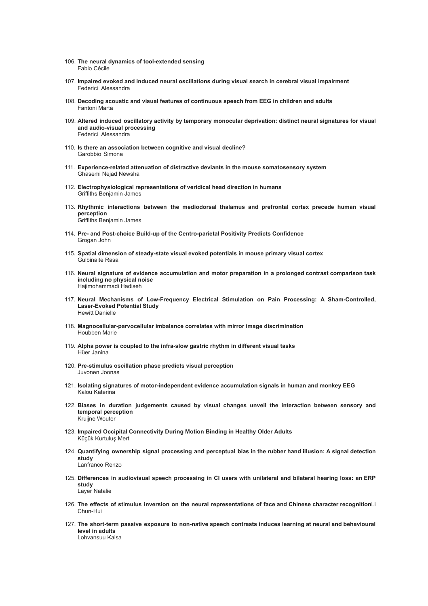- 106. **The neural dynamics of tool-extended sensing** Fabio Cécile
- 107. **Impaired evoked and induced neural oscillations during visual search in cerebral visual impairment** Federici Alessandra
- 108. **Decoding acoustic and visual features of continuous speech from EEG in children and adults** Fantoni Marta
- 109. **Altered induced oscillatory activity by temporary monocular deprivation: distinct neural signatures for visual and audio-visual processing** Federici Alessandra
- 110. **Is there an association between cognitive and visual decline?** Garobbio Simona
- 111. **Experience-related attenuation of distractive deviants in the mouse somatosensory system** Ghasemi Nejad Newsha
- 112. **Electrophysiological representations of veridical head direction in humans** Griffiths Benjamin James
- 113. **Rhythmic interactions between the mediodorsal thalamus and prefrontal cortex precede human visual perception** Griffiths Benjamin James
- 114. **Pre- and Post-choice Build-up of the Centro-parietal Positivity Predicts Confidence** Grogan John
- 115. **Spatial dimension of steady-state visual evoked potentials in mouse primary visual cortex** Gulbinaite Rasa
- 116. **Neural signature of evidence accumulation and motor preparation in a prolonged contrast comparison task including no physical noise** Hajimohammadi Hadiseh
- 117. **Neural Mechanisms of Low-Frequency Electrical Stimulation on Pain Processing: A Sham-Controlled, Laser-Evoked Potential Study** Hewitt Danielle
- 118. **Magnocellular-parvocellular imbalance correlates with mirror image discrimination** Houbben Marie
- 119. **Alpha power is coupled to the infra-slow gastric rhythm in different visual tasks** Hüer Janina
- 120. **Pre-stimulus oscillation phase predicts visual perception** Juvonen Joonas
- 121. **Isolating signatures of motor-independent evidence accumulation signals in human and monkey EEG** Kalou Katerina
- 122. **Biases in duration judgements caused by visual changes unveil the interaction between sensory and temporal perception** Kruijne Wouter
- 123. **Impaired Occipital Connectivity During Motion Binding in Healthy Older Adults** Küçük Kurtuluş Mert
- 124. **Quantifying ownership signal processing and perceptual bias in the rubber hand illusion: A signal detection study** Lanfranco Renzo
- 125. **Differences in audiovisual speech processing in CI users with unilateral and bilateral hearing loss: an ERP study** Layer Natalie
- 126. **The effects of stimulus inversion on the neural representations of face and Chinese character recognition**Li Chun-Hui
- 127. **The short-term passive exposure to non-native speech contrasts induces learning at neural and behavioural level in adults** Lohvansuu Kaisa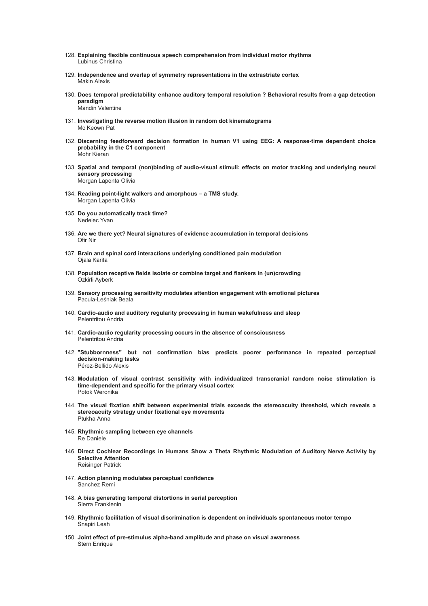- 128. **Explaining flexible continuous speech comprehension from individual motor rhythms** Lubinus Christina
- 129. **Independence and overlap of symmetry representations in the extrastriate cortex** Makin Alexis
- 130. **Does temporal predictability enhance auditory temporal resolution ? Behavioral results from a gap detection paradigm** Mandin Valentine
- 131. **Investigating the reverse motion illusion in random dot kinematograms** Mc Keown Pat
- 132. **Discerning feedforward decision formation in human V1 using EEG: A response-time dependent choice probability in the C1 component** Mohr Kieran
- 133. **Spatial and temporal (non)binding of audio-visual stimuli: effects on motor tracking and underlying neural sensory processing** Morgan Lapenta Olivia
- 134. **Reading point-light walkers and amorphous – a TMS study.** Morgan Lapenta Olivia
- 135. **Do you automatically track time?** Nedelec Yvan
- 136. **Are we there yet? Neural signatures of evidence accumulation in temporal decisions** Ofir Nir
- 137. **Brain and spinal cord interactions underlying conditioned pain modulation** Ojala Karita
- 138. **Population receptive fields isolate or combine target and flankers in (un)crowding** Ozkirli Ayberk
- 139. **Sensory processing sensitivity modulates attention engagement with emotional pictures** Pacula-Leśniak Beata
- 140. **Cardio-audio and auditory regularity processing in human wakefulness and sleep** Pelentritou Andria
- 141. **Cardio-audio regularity processing occurs in the absence of consciousness** Pelentritou Andria
- 142. **"Stubbornness" but not confirmation bias predicts poorer performance in repeated perceptual decision-making tasks** Pérez-Bellido Alexis
- 143. **Modulation of visual contrast sensitivity with individualized transcranial random noise stimulation is time-dependent and specific for the primary visual cortex** Potok Weronika
- 144. **The visual fixation shift between experimental trials exceeds the stereoacuity threshold, which reveals a stereoacuity strategy under fixational eye movements** Ptukha Anna
- 145. **Rhythmic sampling between eye channels** Re Daniele
- 146. **Direct Cochlear Recordings in Humans Show a Theta Rhythmic Modulation of Auditory Nerve Activity by Selective Attention** Reisinger Patrick
- 147. **Action planning modulates perceptual confidence** Sanchez Remi
- 148. **A bias generating temporal distortions in serial perception** Sierra Franklenin
- 149. **Rhythmic facilitation of visual discrimination is dependent on individuals spontaneous motor tempo** Snapiri Leah
- 150. **Joint effect of pre-stimulus alpha-band amplitude and phase on visual awareness** Stern Enrique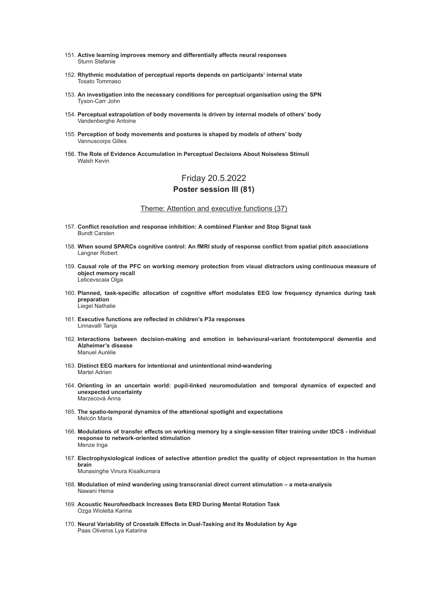- 151. **Active learning improves memory and differentially affects neural responses** Sturm Stefanie
- 152. **Rhythmic modulation of perceptual reports depends on participants' internal state** Tosato Tommaso
- 153. **An investigation into the necessary conditions for perceptual organisation using the SPN** Tyson-Carr John
- 154. **Perceptual extrapolation of body movements is driven by internal models of others' body** Vandenberghe Antoine
- 155. **Perception of body movements and postures is shaped by models of others' body** Vannuscorps Gilles
- 156. **The Role of Evidence Accumulation in Perceptual Decisions About Noiseless Stimuli** Walsh Kevin

## Friday 20.5.2022 **Poster session III (81)**

### Theme: Attention and executive functions (37)

- 157. **Conflict resolution and response inhibition: A combined Flanker and Stop Signal task** Bundt Carsten
- 158. **When sound SPARCs cognitive control: An fMRI study of response conflict from spatial pitch associations** Langner Robert
- 159. **Causal role of the PFC on working memory protection from visual distractors using continuous measure of object memory recall** Leticevscaia Olga
- 160. **Planned, task-specific allocation of cognitive effort modulates EEG low frequency dynamics during task preparation** Liegel Nathalie
- 161. **Executive functions are reflected in children's P3a responses** Linnavalli Tanja
- 162. **Interactions between decision-making and emotion in behavioural-variant frontotemporal dementia and Alzheimer's disease** Manuel Aurélie
- 163. **Distinct EEG markers for intentional and unintentional mind-wandering** Martel Adrien
- 164. **Orienting in an uncertain world: pupil-linked neuromodulation and temporal dynamics of expected and unexpected uncertainty** Marzecová Anna
- 165. **The spatio-temporal dynamics of the attentional spotlight and expectations** Melcón María
- 166. Modulations of transfer effects on working memory by a single-session filter training under tDCS individual **response to network-oriented stimulation** Menze Inga
- 167. **Electrophysiological indices of selective attention predict the quality of object representation in the human brain** Munasinghe Vinura Kisalkumara
- 168. **Modulation of mind wandering using transcranial direct current stimulation – a meta-analysis** Nawani Hema
- 169. **Acoustic Neurofeedback Increases Beta ERD During Mental Rotation Task** Ozga Wioletta Karina
- 170. **Neural Variability of Crosstalk Effects in Dual-Tasking and Its Modulation by Age** Paas Oliveros Lya Katarina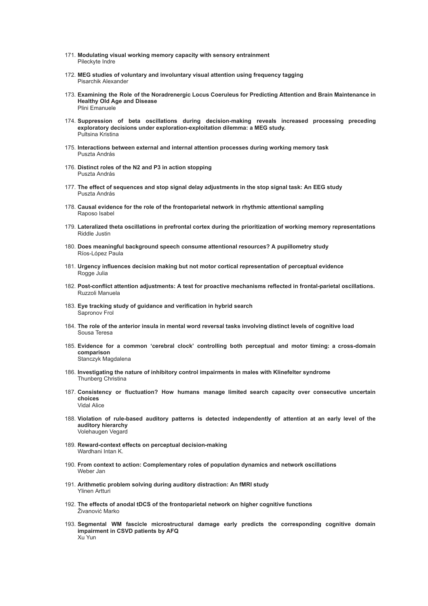- 171. **Modulating visual working memory capacity with sensory entrainment** Pileckyte Indre
- 172. **MEG studies of voluntary and involuntary visual attention using frequency tagging** Pisarchik Alexander
- 173. **Examining the Role of the Noradrenergic Locus Coeruleus for Predicting Attention and Brain Maintenance in Healthy Old Age and Disease** Plini Emanuele
- 174. **Suppression of beta oscillations during decision-making reveals increased processing preceding exploratory decisions under exploration-exploitation dilemma: a MEG study.** Pultsina Kristina
- 175. **Interactions between external and internal attention processes during working memory task** Puszta András
- 176. **Distinct roles of the N2 and P3 in action stopping** Puszta András
- 177. **The effect of sequences and stop signal delay adjustments in the stop signal task: An EEG study** Puszta András
- 178. **Causal evidence for the role of the frontoparietal network in rhythmic attentional sampling** Raposo Isabel
- 179. **Lateralized theta oscillations in prefrontal cortex during the prioritization of working memory representations** Riddle Justin
- 180. **Does meaningful background speech consume attentional resources? A pupillometry study** Ríos-López Paula
- 181. **Urgency influences decision making but not motor cortical representation of perceptual evidence** Rogge Julia
- 182. **Post-conflict attention adjustments: A test for proactive mechanisms reflected in frontal-parietal oscillations.** Ruzzoli Manuela
- 183. **Eye tracking study of guidance and verification in hybrid search** Sapronov Frol
- 184. The role of the anterior insula in mental word reversal tasks involving distinct levels of cognitive load Sousa Teresa
- 185. **Evidence for a common 'cerebral clock' controlling both perceptual and motor timing: a cross-domain comparison** Stanczyk Magdalena
- 186. **Investigating the nature of inhibitory control impairments in males with Klinefelter syndrome** Thunberg Christina
- 187. **Consistency or fluctuation? How humans manage limited search capacity over consecutive uncertain choices** Vidal Alice
- 188. **Violation of rule-based auditory patterns is detected independently of attention at an early level of the auditory hierarchy** Volehaugen Vegard
- 189. **Reward-context effects on perceptual decision-making** Wardhani Intan K.
- 190. **From context to action: Complementary roles of population dynamics and network oscillations** Weber Jan
- 191. **Arithmetic problem solving during auditory distraction: An fMRI study** Ylinen Artturi
- 192. **The effects of anodal tDCS of the frontoparietal network on higher cognitive functions** Živanović Marko
- 193. **Segmental WM fascicle microstructural damage early predicts the corresponding cognitive domain impairment in CSVD patients by AFQ** Xu Yun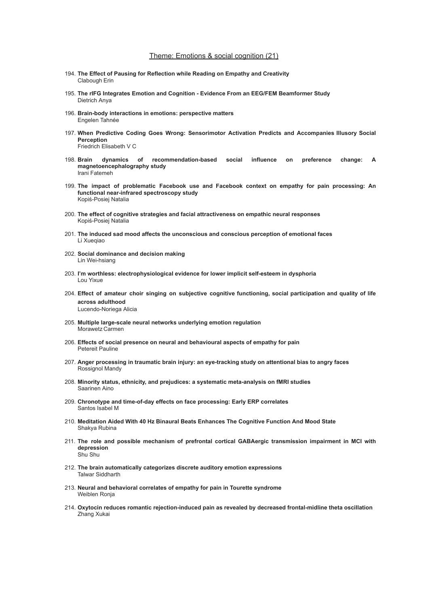### Theme: Emotions & social cognition (21)

- 194. **The Effect of Pausing for Reflection while Reading on Empathy and Creativity** Clabough Erin
- 195. **The rIFG Integrates Emotion and Cognition - Evidence From an EEG/FEM Beamformer Study** Dietrich Anya
- 196. **Brain-body interactions in emotions: perspective matters** Engelen Tahnée
- 197. **When Predictive Coding Goes Wrong: Sensorimotor Activation Predicts and Accompanies Illusory Social Perception** Friedrich Elisabeth V C
- 198. **Brain dynamics of recommendation-based social influence on preference change: A magnetoencephalography study** Irani Fatemeh
- 199. **The impact of problematic Facebook use and Facebook context on empathy for pain processing: An functional near-infrared spectroscopy study** Kopiś-Posiej Natalia
- 200. **The effect of cognitive strategies and facial attractiveness on empathic neural responses** Kopiś-Posiej Natalia
- 201. **The induced sad mood affects the unconscious and conscious perception of emotional faces** Li Xuegiao
- 202. **Social dominance and decision making** Lin Wei-hsiang
- 203. **I'm worthless: electrophysiological evidence for lower implicit self-esteem in dysphoria** Lou Yixue
- 204. **Effect of amateur choir singing on subjective cognitive functioning, social participation and quality of life across adulthood** Lucendo-Noriega Alicia
- 205. **Multiple large-scale neural networks underlying emotion regulation** Morawetz Carmen
- 206. **Effects of social presence on neural and behavioural aspects of empathy for pain** Petereit Pauline
- 207. **Anger processing in traumatic brain injury: an eye-tracking study on attentional bias to angry faces** Rossignol Mandy
- 208. **Minority status, ethnicity, and prejudices: a systematic meta-analysis on fMRI studies** Saarinen Aino
- 209. **Chronotype and time-of-day effects on face processing: Early ERP correlates** Santos Isabel M
- 210. **Meditation Aided With 40 Hz Binaural Beats Enhances The Cognitive Function And Mood State** Shakya Rubina
- 211. **The role and possible mechanism of prefrontal cortical GABAergic transmission impairment in MCI with depression** Shu Shu
- 212. **The brain automatically categorizes discrete auditory emotion expressions** Talwar Siddharth
- 213. **Neural and behavioral correlates of empathy for pain in Tourette syndrome** Weiblen Ronja
- 214. **Oxytocin reduces romantic rejection-induced pain as revealed by decreased frontal-midline theta oscillation** Zhang Xukai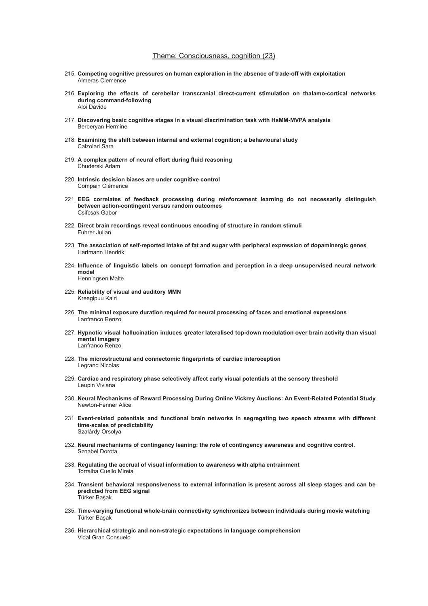### Theme: Consciousness, cognition (23)

- 215. **Competing cognitive pressures on human exploration in the absence of trade-off with exploitation** Almeras Clemence
- 216. **Exploring the effects of cerebellar transcranial direct-current stimulation on thalamo-cortical networks during command-following** Aloi Davide
- 217. **Discovering basic cognitive stages in a visual discrimination task with HsMM-MVPA analysis** Berberyan Hermine
- 218. **Examining the shift between internal and external cognition; a behavioural study** Calzolari Sara
- 219. **A complex pattern of neural effort during fluid reasoning** Chuderski Adam
- 220. **Intrinsic decision biases are under cognitive control** Compain Clémence
- 221. **EEG correlates of feedback processing during reinforcement learning do not necessarily distinguish between action-contingent versus random outcomes** Csifcsak Gabor
- 222. **Direct brain recordings reveal continuous encoding of structure in random stimuli** Fuhrer Julian
- 223. **The association of self-reported intake of fat and sugar with peripheral expression of dopaminergic genes** Hartmann Hendrik
- 224. **Influence of linguistic labels on concept formation and perception in a deep unsupervised neural network model** Henningsen Malte
- 225. **Reliability of visual and auditory MMN** Kreegipuu Kairi
- 226. **The minimal exposure duration required for neural processing of faces and emotional expressions** Lanfranco Renzo
- 227. **Hypnotic visual hallucination induces greater lateralised top-down modulation over brain activity than visual mental imagery** Lanfranco Renzo
- 228. **The microstructural and connectomic fingerprints of cardiac interoception** Legrand Nicolas
- 229. **Cardiac and respiratory phase selectively affect early visual potentials at the sensory threshold** Leupin Viviana
- 230. **Neural Mechanisms of Reward Processing During Online Vickrey Auctions: An Event-Related Potential Study** Newton-Fenner Alice
- 231. **Event-related potentials and functional brain networks in segregating two speech streams with different time-scales of predictability** Szalárdy Orsolya
- 232. **Neural mechanisms of contingency leaning: the role of contingency awareness and cognitive control.** Sznabel Dorota
- 233. **Regulating the accrual of visual information to awareness with alpha entrainment** Torralba Cuello Mireia
- 234. **Transient behavioral responsiveness to external information is present across all sleep stages and can be predicted from EEG signal** Türker Başak
- 235. **Time-varying functional whole-brain connectivity synchronizes between individuals during movie watching** Türker Başak
- 236. **Hierarchical strategic and non-strategic expectations in language comprehension** Vidal Gran Consuelo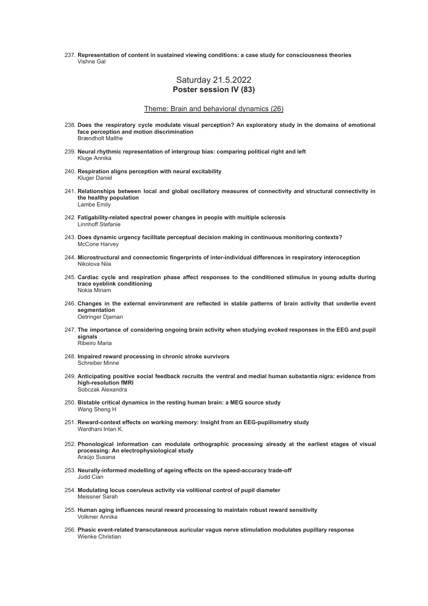237. **Representation of content in sustained viewing conditions: a case study for consciousness theories** Vishne Gal

### Saturday 21.5.2022 **Poster session IV (83)**

### Theme: Brain and behavioral dynamics (26)

- 238. **Does the respiratory cycle modulate visual perception? An exploratory study in the domains of emotional face perception and motion discrimination** Brændholt Malthe
- 239. **Neural rhythmic representation of intergroup bias: comparing political right and left** Kluge Annika
- 240. **Respiration aligns perception with neural excitability** Kluger Daniel
- 241. **Relationships between local and global oscillatory measures of connectivity and structural connectivity in the healthy population** Lambe Emily
- 242. **Fatigability-related spectral power changes in people with multiple sclerosis** Linnhoff Stefanie
- 243. **Does dynamic urgency facilitate perceptual decision making in continuous monitoring contexts?** McCone Harvey
- 244. **Microstructural and connectomic fingerprints of inter-individual differences in respiratory interoception** Nikolova Niia
- 245. **Cardiac cycle and respiration phase affect responses to the conditioned stimulus in young adults during trace eyeblink conditioning** Nokia Miriam
- 246. **Changes in the external environment are reflected in stable patterns of brain activity that underlie event segmentation** Oetringer Djamari
- 247. **The importance of considering ongoing brain activity when studying evoked responses in the EEG and pupil signals** Ribeiro Maria
- 248. **Impaired reward processing in chronic stroke survivors** Schreiber Minne
- 249. **Anticipating positive social feedback recruits the ventral and medial human substantia nigra: evidence from high-resolution fMRI** Sobczak Alexandra
- 250. **Bistable critical dynamics in the resting human brain: a MEG source study** Wang Sheng H
- 251. **Reward-context effects on working memory: Insight from an EEG-pupillometry study** Wardhani Intan K.
- 252. **Phonological information can modulate orthographic processing already at the earliest stages of visual processing: An electrophysiological study** Araújo Susana
- 253. **Neurally-informed modelling of ageing effects on the speed-accuracy trade-off** Judd Cian
- 254. **Modulating locus coeruleus activity via volitional control of pupil diameter** Meissner Sarah
- 255. **Human aging influences neural reward processing to maintain robust reward sensitivity** Volkmer Annika
- 256. **Phasic event-related transcutaneous auricular vagus nerve stimulation modulates pupillary response** Wienke Christian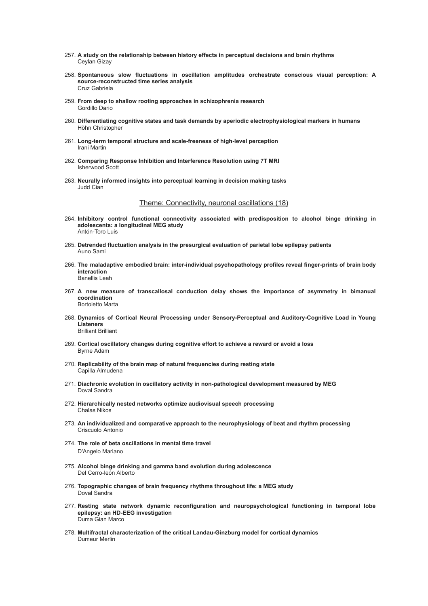- 257. **A study on the relationship between history effects in perceptual decisions and brain rhythms** Ceylan Gizay
- 258. **Spontaneous slow fluctuations in oscillation amplitudes orchestrate conscious visual perception: A source-reconstructed time series analysis** Cruz Gabriela
- 259. **From deep to shallow rooting approaches in schizophrenia research** Gordillo Dario
- 260. **Differentiating cognitive states and task demands by aperiodic electrophysiological markers in humans** Höhn Christopher
- 261. **Long-term temporal structure and scale-freeness of high-level perception** Irani Martin
- 262. **Comparing Response Inhibition and Interference Resolution using 7T MRI** Isherwood Scott
- 263. **Neurally informed insights into perceptual learning in decision making tasks** Judd Cian

### Theme: Connectivity, neuronal oscillations (18)

- 264. **Inhibitory control functional connectivity associated with predisposition to alcohol binge drinking in adolescents: a longitudinal MEG study** Antón-Toro Luis
- 265. **Detrended fluctuation analysis in the presurgical evaluation of parietal lobe epilepsy patients** Auno Sami
- 266. **The maladaptive embodied brain: inter-individual psychopathology profiles reveal finger-prints of brain body interaction** Banellis Leah
- 267. **A new measure of transcallosal conduction delay shows the importance of asymmetry in bimanual coordination** Bortoletto Marta
- 268. **Dynamics of Cortical Neural Processing under Sensory-Perceptual and Auditory-Cognitive Load in Young Listeners** Brilliant Brilliant
- 269. **Cortical oscillatory changes during cognitive effort to achieve a reward or avoid a loss** Byrne Adam
- 270. **Replicability of the brain map of natural frequencies during resting state** Capilla Almudena
- 271. **Diachronic evolution in oscillatory activity in non-pathological development measured by MEG** Doval Sandra
- 272. **Hierarchically nested networks optimize audiovisual speech processing** Chalas Nikos
- 273. **An individualized and comparative approach to the neurophysiology of beat and rhythm processing** Criscuolo Antonio
- 274. **The role of beta oscillations in mental time travel** D'Angelo Mariano
- 275. **Alcohol binge drinking and gamma band evolution during adolescence** Del Cerro-león Alberto
- 276. **Topographic changes of brain frequency rhythms throughout life: a MEG study** Doval Sandra
- 277. **Resting state network dynamic reconfiguration and neuropsychological functioning in temporal lobe epilepsy: an HD-EEG investigation** Duma Gian Marco
- 278. **Multifractal characterization of the critical Landau-Ginzburg model for cortical dynamics** Dumeur Merlin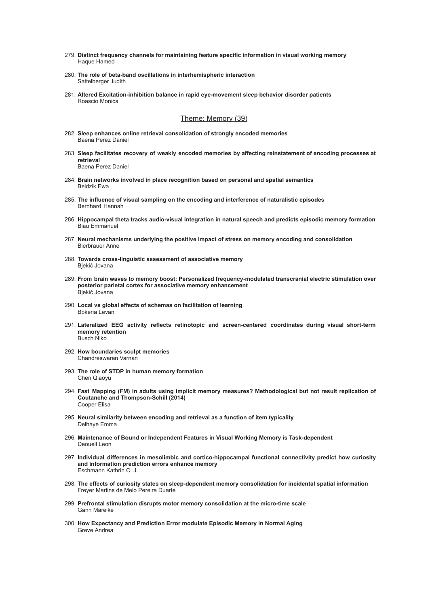- 279. **Distinct frequency channels for maintaining feature specific information in visual working memory** Haque Hamed
- 280. **The role of beta-band oscillations in interhemispheric interaction** Sattelberger Judith
- 281. **Altered Excitation-inhibition balance in rapid eye-movement sleep behavior disorder patients** Roascio Monica

### Theme: Memory (39)

- 282. **Sleep enhances online retrieval consolidation of strongly encoded memories** Baena Perez Daniel
- 283. **Sleep facilitates recovery of weakly encoded memories by affecting reinstatement of encoding processes at retrieval** Baena Perez Daniel
- 284. **Brain networks involved in place recognition based on personal and spatial semantics** Beldzik Ewa
- 285. **The influence of visual sampling on the encoding and interference of naturalistic episodes** Bernhard Hannah
- 286. **Hippocampal theta tracks audio-visual integration in natural speech and predicts episodic memory formation** Biau Emmanuel
- 287. **Neural mechanisms underlying the positive impact of stress on memory encoding and consolidation** Bierbrauer Anne
- 288. **Towards cross-linguistic assessment of associative memory** Bjekić Jovana
- 289. **From brain waves to memory boost: Personalized frequency-modulated transcranial electric stimulation over posterior parietal cortex for associative memory enhancement** Bjekić Jovana
- 290. **Local vs global effects of schemas on facilitation of learning** Bokeria Levan
- 291. **Lateralized EEG activity reflects retinotopic and screen-centered coordinates during visual short-term memory retention** Busch Niko
- 292. **How boundaries sculpt memories** Chandreswaran Varnan
- 293. **The role of STDP in human memory formation** Chen Qiaoyu
- 294. **Fast Mapping (FM) in adults using implicit memory measures? Methodological but not result replication of Coutanche and Thompson-Schill (2014)** Cooper Elisa
- 295. **Neural similarity between encoding and retrieval as a function of item typicality** Delhaye Emma
- 296. **Maintenance of Bound or Independent Features in Visual Working Memory is Task-dependent** Deouell Leon
- 297. **Individual differences in mesolimbic and cortico-hippocampal functional connectivity predict how curiosity and information prediction errors enhance memory** Eschmann Kathrin C. J.
- 298. **The effects of curiosity states on sleep-dependent memory consolidation for incidental spatial information** Freyer Martins de Melo Pereira Duarte
- 299. **Prefrontal stimulation disrupts motor memory consolidation at the micro-time scale** Gann Mareike
- 300. **How Expectancy and Prediction Error modulate Episodic Memory in Normal Aging** Greve Andrea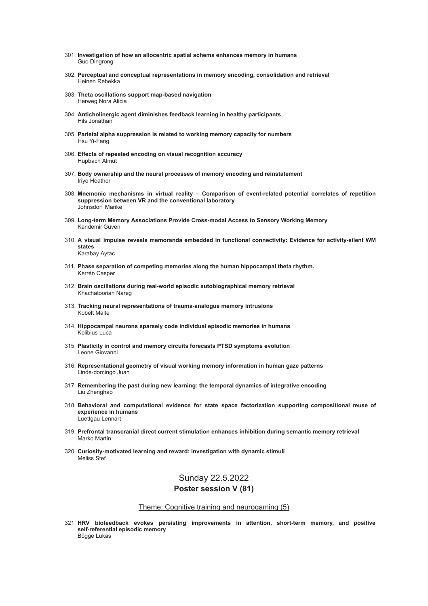- 301. **Investigation of how an allocentric spatial schema enhances memory in humans** Guo Dingrong
- 302. **Perceptual and conceptual representations in memory encoding, consolidation and retrieval** Heinen Rebekka
- 303. **Theta oscillations support map-based navigation** Herweg Nora Alicia
- 304. **Anticholinergic agent diminishes feedback learning in healthy participants** Hils Jonathan
- 305. **Parietal alpha suppression is related to working memory capacity for numbers** Hsu Yi-Fang
- 306. **Effects of repeated encoding on visual recognition accuracy** Hupbach Almut
- 307. **Body ownership and the neural processes of memory encoding and reinstatement** Iriye Heather
- 308. **Mnemonic mechanisms in virtual reality – Comparison of event-related potential correlates of repetition suppression between VR and the conventional laboratory** Johnsdorf Marike
- 309. **Long-term Memory Associations Provide Cross-modal Access to Sensory Working Memory** Kandemir Güven
- 310. **A visual impulse reveals memoranda embedded in functional connectivity: Evidence for activity-silent WM states** Karabay Aytac
- 311. **Phase separation of competing memories along the human hippocampal theta rhythm.** Kerrén Casper
- 312. **Brain oscillations during real-world episodic autobiographical memory retrieval** Khachatoorian Nareg
- 313. **Tracking neural representations of trauma-analogue memory intrusions** Kobelt Malte
- 314. **Hippocampal neurons sparsely code individual episodic memories in humans** Kolibius Luca
- 315. **Plasticity in control and memory circuits forecasts PTSD symptoms evolution** Leone Giovanni
- 316. **Representational geometry of visual working memory information in human gaze patterns** Linde-domingo Juan
- 317. **Remembering the past during new learning: the temporal dynamics of integrative encoding** Liu Zhenghao
- 318. **Behavioral and computational evidence for state space factorization supporting compositional reuse of experience in humans** Luettgau Lennart
- 319. **Prefrontal transcranial direct current stimulation enhances inhibition during semantic memory retrieval** Marko Martin
- 320. **Curiosity-motivated learning and reward: Investigation with dynamic stimuli** Meliss Stef

## Sunday 22.5.2022

### **Poster session V (81)**

### Theme: Cognitive training and neurogaming (5)

321. **HRV biofeedback evokes persisting improvements in attention, short-term memory, and positive self-referential episodic memory** Bögge Lukas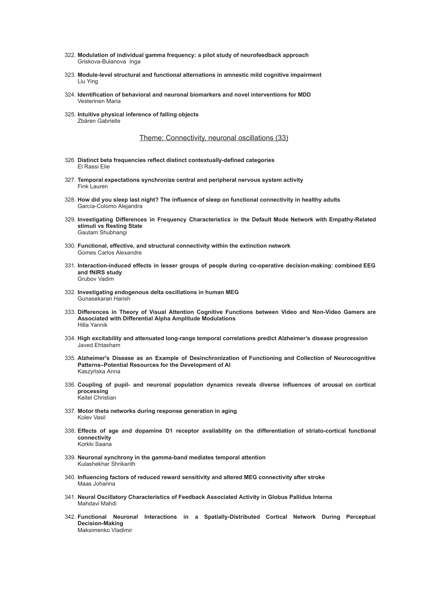- 322. **Modulation of individual gamma frequency: a pilot study of neurofeedback approach** Griskova-Bulanova Inga
- 323. **Module-level structural and functional alternations in amnestic mild cognitive impairment** Liu Ying
- 324. **Identification of behavioral and neuronal biomarkers and novel interventions for MDD** Vesterinen Maria
- 325. **Intuitive physical inference of falling objects** Zbären Gabrielle

#### Theme: Connectivity, neuronal oscillations (33)

- 326. **Distinct beta frequencies reflect distinct contextually-defined categories** El Rassi Elie
- 327. **Temporal expectations synchronize central and peripheral nervous system activity** Fink Lauren
- 328. **How did you sleep last night? The influence of sleep on functional connectivity in healthy adults** García-Colomo Alejandra
- 329. **Investigating Differences in Frequency Characteristics in the Default Mode Network with Empathy-Related stimuli vs Resting State** Gautam Shubhangi
- 330. **Functional, effective, and structural connectivity within the extinction network** Gomes Carlos Alexandre
- 331. **Interaction-induced effects in lesser groups of people during co-operative decision-making: combined EEG and fNIRS study** Grubov Vadim
- 332. **Investigating endogenous delta oscillations in human MEG** Gunasekaran Harish
- 333. **Differences in Theory of Visual Attention Cognitive Functions between Video and Non-Video Gamers are Associated with Differential Alpha Amplitude Modulations** Hilla Yannik
- 334. **High excitability and attenuated long-range temporal correlations predict Alzheimer's disease progression** Javed Ehtasham
- 335. **Alzheimer's Disease as an Example of Desinchronization of Functioning and Collection of Neurocognitive Patterns–Potential Resources for the Development of AI** Kaszyńska Anna
- 336. **Coupling of pupil- and neuronal population dynamics reveals diverse influences of arousal on cortical processing** Keitel Christian
- 337. **Motor theta networks during response generation in aging** Kolev Vasil
- 338. **Effects of age and dopamine D1 receptor availability on the differentiation of striato-cortical functional connectivity** Korkki Saana
- 339. **Neuronal synchrony in the gamma-band mediates temporal attention** Kulashekhar Shrikanth
- 340. **Influencing factors of reduced reward sensitivity and altered MEG connectivity after stroke** Maas Johanna
- 341. **Neural Oscillatory Characteristics of Feedback Associated Activity in Globus Pallidus Interna** Mahdavi Mahdi
- 342. **Functional Neuronal Interactions in a Spatially-Distributed Cortical Network During Perceptual Decision-Making** Maksimenko Vladimir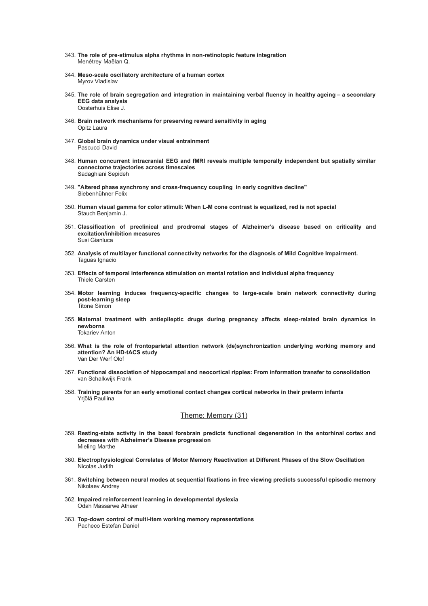- 343. **The role of pre-stimulus alpha rhythms in non-retinotopic feature integration** Menétrey Maëlan Q.
- 344. **Meso-scale oscillatory architecture of a human cortex** Myrov Vladislav
- 345. The role of brain segregation and integration in maintaining verbal fluency in healthy ageing a secondary **EEG data analysis** Oosterhuis Elise J.
- 346. **Brain network mechanisms for preserving reward sensitivity in aging** Opitz Laura
- 347. **Global brain dynamics under visual entrainment** Pascucci David
- 348. **Human concurrent intracranial EEG and fMRI reveals multiple temporally independent but spatially similar connectome trajectories across timescales** Sadaghiani Sepideh
- 349. **"Altered phase synchrony and cross-frequency coupling in early cognitive decline"** Siebenhühner Felix
- 350. **Human visual gamma for color stimuli: When L-M cone contrast is equalized, red is not special** Stauch Benjamin J.
- 351. **Classification of preclinical and prodromal stages of Alzheimer's disease based on criticality and excitation/inhibition measures** Susi Gianluca
- 352. **Analysis of multilayer functional connectivity networks for the diagnosis of Mild Cognitive Impairment.** Taguas Ignacio
- 353. **Effects of temporal interference stimulation on mental rotation and individual alpha frequency** Thiele Carsten
- 354. **Motor learning induces frequency-specific changes to large-scale brain network connectivity during post-learning sleep** Titone Simon
- 355. **Maternal treatment with antiepileptic drugs during pregnancy affects sleep-related brain dynamics in newborns** Tokariev Anton
- 356. **What is the role of frontoparietal attention network (de)synchronization underlying working memory and attention? An HD-tACS study** Van Der Werf Olof
- 357. **Functional dissociation of hippocampal and neocortical ripples: From information transfer to consolidation** van Schalkwijk Frank
- 358. **Training parents for an early emotional contact changes cortical networks in their preterm infants** Yrjölä Pauliina

### Theme: Memory (31)

- 359. **Resting-state activity in the basal forebrain predicts functional degeneration in the entorhinal cortex and decreases with Alzheimer's Disease progression** Mieling Marthe
- 360. **Electrophysiological Correlates of Motor Memory Reactivation at Different Phases of the Slow Oscillation** Nicolas Judith
- 361. **Switching between neural modes at sequential fixations in free viewing predicts successful episodic memory** Nikolaev Andrey
- 362. **Impaired reinforcement learning in developmental dyslexia** Odah Massarwe Atheer
- 363. **Top-down control of multi-item working memory representations** Pacheco Estefan Daniel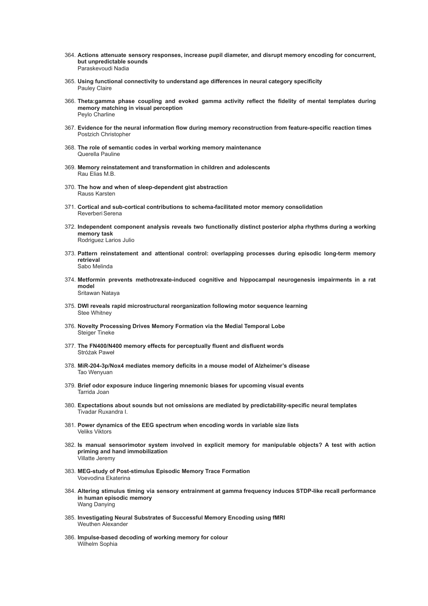- 364. **Actions attenuate sensory responses, increase pupil diameter, and disrupt memory encoding for concurrent, but unpredictable sounds** Paraskevoudi Nadia
- 365. **Using functional connectivity to understand age differences in neural category specificity** Pauley Claire
- 366. **Theta:gamma phase coupling and evoked gamma activity reflect the fidelity of mental templates during memory matching in visual perception** Peylo Charline
- 367. **Evidence for the neural information flow during memory reconstruction from feature-specific reaction times** Postzich Christopher
- 368. **The role of semantic codes in verbal working memory maintenance** Querella Pauline
- 369. **Memory reinstatement and transformation in children and adolescents** Rau Elias M.B.
- 370. **The how and when of sleep-dependent gist abstraction** Rauss Karsten
- 371. **Cortical and sub-cortical contributions to schema-facilitated motor memory consolidation** Reverberi Serena
- 372. **Independent component analysis reveals two functionally distinct posterior alpha rhythms during a working memory task** Rodriguez Larios Julio
- 373. **Pattern reinstatement and attentional control: overlapping processes during episodic long-term memory retrieval** Sabo Melinda
- 374. **Metformin prevents methotrexate-induced cognitive and hippocampal neurogenesis impairments in a rat model** Sritawan Nataya
- 375. **DWI reveals rapid microstructural reorganization following motor sequence learning** Stee Whitney
- 376. **Novelty Processing Drives Memory Formation via the Medial Temporal Lobe** Steiger Tineke
- 377. **The FN400/N400 memory effects for perceptually fluent and disfluent words** Stróżak Paweł
- 378. **MiR-204-3p/Nox4 mediates memory deficits in a mouse model of Alzheimer's disease** Tao Wenyuan
- 379. **Brief odor exposure induce lingering mnemonic biases for upcoming visual events** Tarrida Joan
- 380. **Expectations about sounds but not omissions are mediated by predictability-specific neural templates** Tivadar Ruxandra I.
- 381. **Power dynamics of the EEG spectrum when encoding words in variable size lists** Veliks Viktors
- 382. **Is manual sensorimotor system involved in explicit memory for manipulable objects? A test with action priming and hand immobilization** Villatte Jeremy
- 383. **MEG-study of Post-stimulus Episodic Memory Trace Formation** Voevodina Ekaterina
- 384. **Altering stimulus timing via sensory entrainment at gamma frequency induces STDP-like recall performance in human episodic memory** Wang Danying
- 385. **Investigating Neural Substrates of Successful Memory Encoding using fMRI** Weuthen Alexander
- 386. **Impulse-based decoding of working memory for colour** Wilhelm Sophia